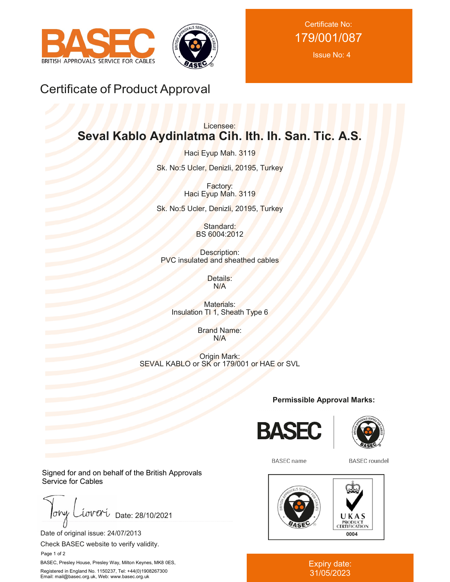



Certificate No: 179/001/087

Issue No: 4

## Certificate of Product Approval

## Licensee: **Seval Kablo Aydinlatma Cih. Ith. Ih. San. Tic. A.S.**

Haci Eyup Mah. 3119 Sk. No:5 Ucler, Denizli, 20195, Turkey

> Factory: Haci Eyup Mah. 3119

Sk. No:5 Ucler, Denizli, 20195, Turkey

Standard: BS 6004:2012

Description: PVC insulated and sheathed cables

> Details: N/A

Materials: Insulation TI 1, Sheath Type 6

> Brand Name: N/A

Origin Mark: SEVAL KABLO or SK or 179/001 or HAE or SVL

**Permissible Approval Marks:**





**BASEC** name

**BASEC** roundel



Expiry date: 31/05/2023

Signed for and on behalf of the British Approvals Service for Cables

 $J_{\sigma}$ iover Date: 28/10/2021

Date of original issue: 24/07/2013

Check BASEC website to verify validity.

Page 1 of 2

BASEC, Presley House, Presley Way, Milton Keynes, MK8 0ES, Registered in England No. 1150237, Tel: +44(0)1908267300 Email: mail@basec.org.uk, Web: www.basec.org.uk